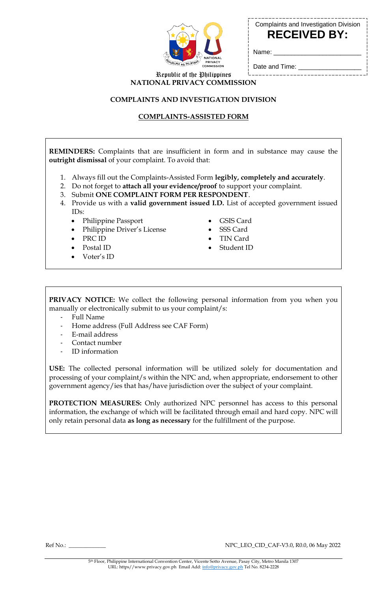

Complaints and Investigation Division **RECEIVED BY:**

Date and Time: \_

Name:

Republic of the Philippines **NATIONAL PRIVACY COMMISSION**

#### **COMPLAINTS AND INVESTIGATION DIVISION**

# **COMPLAINTS-ASSISTED FORM**

**REMINDERS:** Complaints that are insufficient in form and in substance may cause the **outright dismissal** of your complaint. To avoid that:

- 1. Always fill out the Complaints-Assisted Form **legibly, completely and accurately**.
- 2. Do not forget to **attach all your evidence/proof** to support your complaint.
- 3. Submit **ONE COMPLAINT FORM PER RESPONDENT**.
- 4. Provide us with a **valid government issued I.D.** List of accepted government issued IDs:
	- Philippine Passport
	- Philippine Driver's License
	- PRC ID
	- Postal ID
	- Voter's ID
- GSIS Card
- SSS Card
- TIN Card
- Student ID

**PRIVACY NOTICE:** We collect the following personal information from you when you manually or electronically submit to us your complaint/s:

- Full Name
- Home address (Full Address see CAF Form)
- E-mail address
- Contact number
- ID information

**USE:** The collected personal information will be utilized solely for documentation and processing of your complaint/s within the NPC and, when appropriate, endorsement to other government agency/ies that has/have jurisdiction over the subject of your complaint.

**PROTECTION MEASURES:** Only authorized NPC personnel has access to this personal information, the exchange of which will be facilitated through email and hard copy. NPC will only retain personal data **as long as necessary** for the fulfillment of the purpose.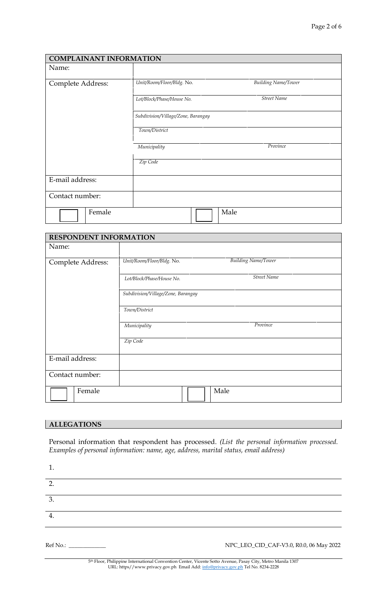| <b>COMPLAINANT INFORMATION</b>     |                                                         |  |  |
|------------------------------------|---------------------------------------------------------|--|--|
| Name:                              |                                                         |  |  |
|                                    |                                                         |  |  |
| Complete Address:                  | Unit/Room/Floor/Bldg. No.<br><b>Building Name/Tower</b> |  |  |
|                                    | <b>Street Name</b><br>Lot/Block/Phase/House No.         |  |  |
| Subdivision/Village/Zone, Barangay |                                                         |  |  |
|                                    | Town/District                                           |  |  |
|                                    | Province<br>Municipality                                |  |  |
|                                    | Zip Code                                                |  |  |
| E-mail address:                    |                                                         |  |  |
| Contact number:                    |                                                         |  |  |
| Female                             | Male                                                    |  |  |

| <b>RESPONDENT INFORMATION</b> |                                    |                            |  |
|-------------------------------|------------------------------------|----------------------------|--|
| Name:                         |                                    |                            |  |
| Complete Address:             | Unit/Room/Floor/Bldg. No.          | <b>Building Name/Tower</b> |  |
|                               | Lot/Block/Phase/House No.          | <b>Street Name</b>         |  |
|                               | Subdivision/Village/Zone, Barangay |                            |  |
|                               | Town/District                      |                            |  |
|                               | Municipality                       | Province                   |  |
|                               | Zip Code                           |                            |  |
| E-mail address:               |                                    |                            |  |
| Contact number:               |                                    |                            |  |
| Female                        |                                    | Male                       |  |

# **ALLEGATIONS**

Personal information that respondent has processed. *(List the personal information processed. Examples of personal information: name, age, address, marital status, email address)*

| Ref No.: ______________ | NPC_LEO_CID_CAF-V3.0, R0.0, 06 May 2022 |
|-------------------------|-----------------------------------------|
| 4.                      |                                         |
| 3.                      |                                         |
| $\overline{2}$          |                                         |
|                         |                                         |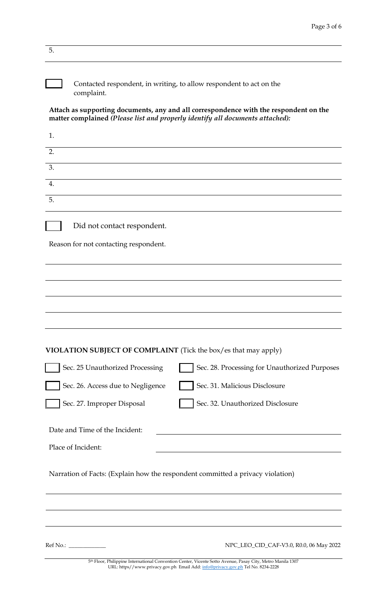| 5.                                    |                                                                                                                                                                                               |
|---------------------------------------|-----------------------------------------------------------------------------------------------------------------------------------------------------------------------------------------------|
| complaint.                            | Contacted respondent, in writing, to allow respondent to act on the                                                                                                                           |
|                                       | Attach as supporting documents, any and all correspondence with the respondent on the<br>matter complained (Please list and properly identify all documents attached):                        |
| 1.                                    |                                                                                                                                                                                               |
| 2.                                    |                                                                                                                                                                                               |
| 3.                                    |                                                                                                                                                                                               |
| 4.                                    |                                                                                                                                                                                               |
| 5.                                    |                                                                                                                                                                                               |
| Did not contact respondent.           |                                                                                                                                                                                               |
| Reason for not contacting respondent. |                                                                                                                                                                                               |
|                                       |                                                                                                                                                                                               |
|                                       |                                                                                                                                                                                               |
|                                       |                                                                                                                                                                                               |
|                                       |                                                                                                                                                                                               |
|                                       |                                                                                                                                                                                               |
|                                       | VIOLATION SUBJECT OF COMPLAINT (Tick the box/es that may apply)                                                                                                                               |
| Sec. 25 Unauthorized Processing       | Sec. 28. Processing for Unauthorized Purposes                                                                                                                                                 |
| Sec. 26. Access due to Negligence     | Sec. 31. Malicious Disclosure                                                                                                                                                                 |
| Sec. 27. Improper Disposal            | Sec. 32. Unauthorized Disclosure                                                                                                                                                              |
| Date and Time of the Incident:        |                                                                                                                                                                                               |
| Place of Incident:                    |                                                                                                                                                                                               |
|                                       | Narration of Facts: (Explain how the respondent committed a privacy violation)                                                                                                                |
|                                       |                                                                                                                                                                                               |
|                                       |                                                                                                                                                                                               |
|                                       |                                                                                                                                                                                               |
| Ref No.:                              | NPC_LEO_CID_CAF-V3.0, R0.0, 06 May 2022                                                                                                                                                       |
|                                       | 5th Floor, Philippine International Convention Center, Vicente Sotto Avenue, Pasay City, Metro Manila 1307<br>URL: https//www.privacy.gov.ph Email Add: info@privacy.gov.ph Tel No. 8234-2228 |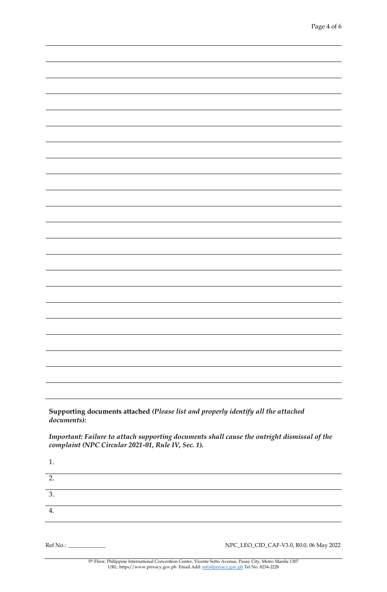**Supporting documents attached** *(Please list and properly identify all the attached documents):*

*Important: Failure to attach supporting documents shall cause the outright dismissal of the complaint (NPC Circular 2021-01, Rule IV, Sec. 1).*

| ı. |  |  |  |
|----|--|--|--|
| 2. |  |  |  |
| 3. |  |  |  |
| 4. |  |  |  |
|    |  |  |  |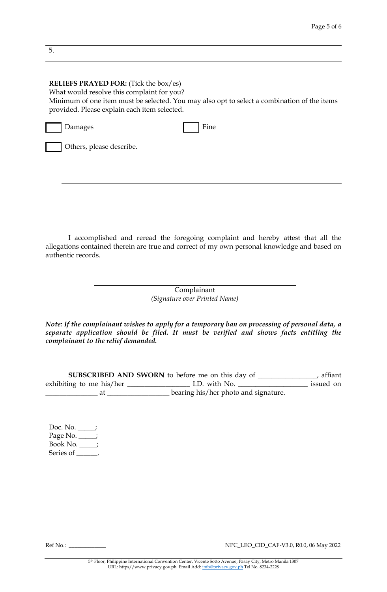### **RELIEFS PRAYED FOR:** (Tick the box/es)

What would resolve this complaint for you? Minimum of one item must be selected. You may also opt to select a combination of the items provided. Please explain each item selected.

| Damages                  | Fine |
|--------------------------|------|
| Others, please describe. |      |
|                          |      |
|                          |      |
|                          |      |
|                          |      |
|                          |      |

I accomplished and reread the foregoing complaint and hereby attest that all the allegations contained therein are true and correct of my own personal knowledge and based on authentic records.

> Complainant *(Signature over Printed Name)*

*Note: If the complainant wishes to apply for a temporary ban on processing of personal data, a separate application should be filed. It must be verified and shows facts entitling the complainant to the relief demanded.*

**SUBSCRIBED AND SWORN** to before me on this day of \_\_\_\_\_\_\_\_\_\_\_\_\_\_\_\_\_, affiant exhibiting to me his/her \_\_\_\_\_\_\_\_\_\_\_\_\_\_\_\_\_\_ I.D. with No. \_\_\_\_\_\_\_\_\_\_\_\_\_\_\_\_\_\_\_\_ issued on at \_\_\_\_\_\_\_\_\_\_\_\_\_\_\_\_\_\_\_\_\_\_\_bearing his/her photo and signature.

Doc. No. \_\_\_\_\_; Page No.  $\_\_$ Book No. \_\_\_\_\_; Series of \_\_\_\_\_\_.